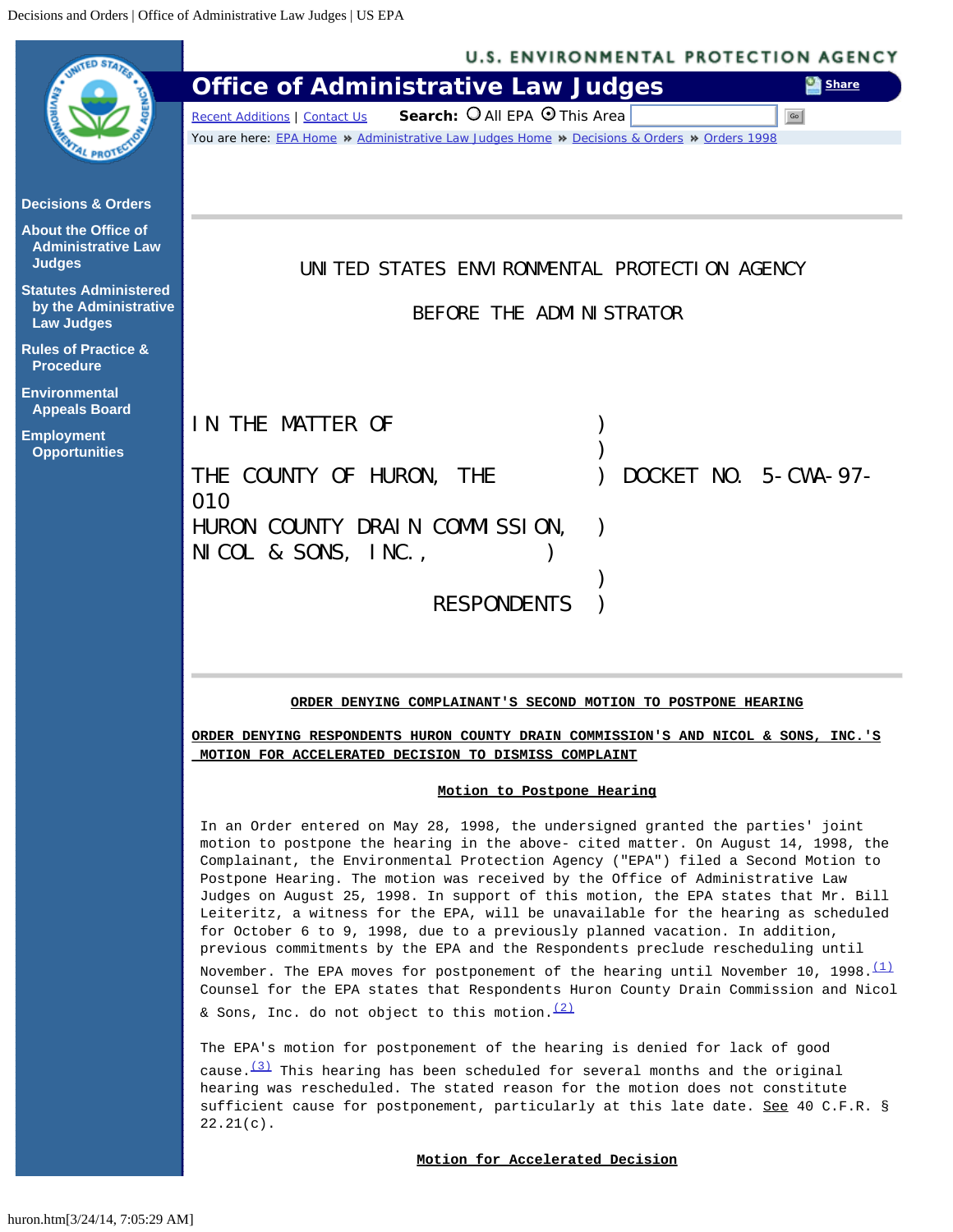<span id="page-0-0"></span>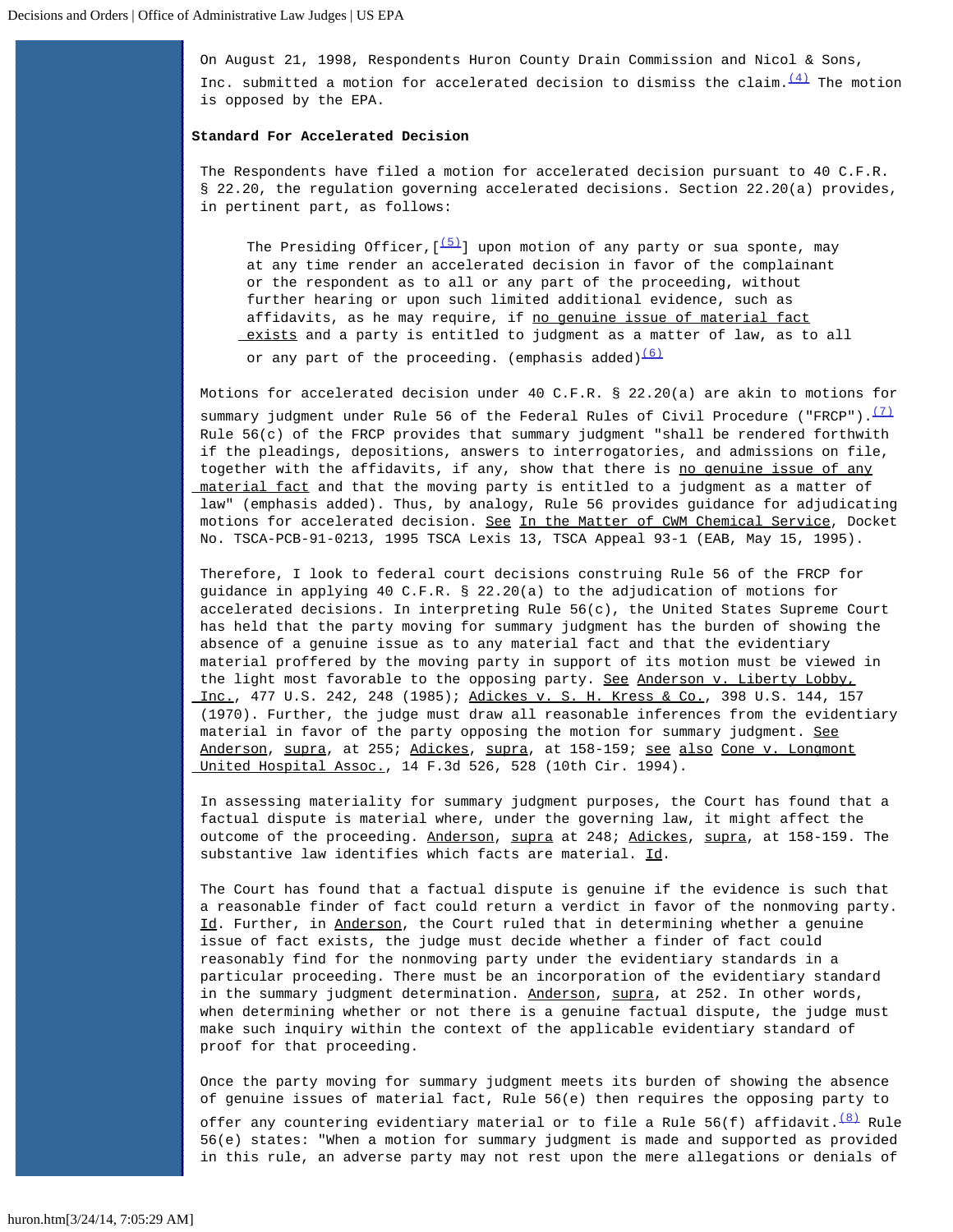On August 21, 1998, Respondents Huron County Drain Commission and Nicol & Sons, Inc. submitted a motion for accelerated decision to dismiss the claim.  $\frac{(4)}{1}$  $\frac{(4)}{1}$  $\frac{(4)}{1}$  The motion is opposed by the EPA.

## **Standard For Accelerated Decision**

The Respondents have filed a motion for accelerated decision pursuant to 40 C.F.R. § 22.20, the regulation governing accelerated decisions. Section 22.20(a) provides, in pertinent part, as follows:

The Presiding Officer,  $\left(\frac{(5)}{2}\right)$  $\left(\frac{(5)}{2}\right)$  $\left(\frac{(5)}{2}\right)$  upon motion of any party or sua sponte, may at any time render an accelerated decision in favor of the complainant or the respondent as to all or any part of the proceeding, without further hearing or upon such limited additional evidence, such as affidavits, as he may require, if no genuine issue of material fact exists and a party is entitled to judgment as a matter of law, as to all

or any part of the proceeding. (emphasis added) $(6)$ 

Motions for accelerated decision under 40 C.F.R. § 22.20(a) are akin to motions for summary judgment under Rule 56 of the Federal Rules of Civil Procedure ("FRCP"). $\frac{(7)}{2}$  $\frac{(7)}{2}$  $\frac{(7)}{2}$  Rule 56(c) of the FRCP provides that summary judgment "shall be rendered forthwith if the pleadings, depositions, answers to interrogatories, and admissions on file, together with the affidavits, if any, show that there is no genuine issue of any material fact and that the moving party is entitled to a judgment as a matter of law" (emphasis added). Thus, by analogy, Rule 56 provides guidance for adjudicating motions for accelerated decision. See In the Matter of CWM Chemical Service, Docket No. TSCA-PCB-91-0213, 1995 TSCA Lexis 13, TSCA Appeal 93-1 (EAB, May 15, 1995).

Therefore, I look to federal court decisions construing Rule 56 of the FRCP for guidance in applying 40 C.F.R. § 22.20(a) to the adjudication of motions for accelerated decisions. In interpreting Rule 56(c), the United States Supreme Court has held that the party moving for summary judgment has the burden of showing the absence of a genuine issue as to any material fact and that the evidentiary material proffered by the moving party in support of its motion must be viewed in the light most favorable to the opposing party. See Anderson v. Liberty Lobby, Inc., 477 U.S. 242, 248 (1985); Adickes v. S. H. Kress & Co., 398 U.S. 144, 157 (1970). Further, the judge must draw all reasonable inferences from the evidentiary material in favor of the party opposing the motion for summary judgment. See Anderson, supra, at 255; Adickes, supra, at 158-159; see also Cone v. Longmont United Hospital Assoc., 14 F.3d 526, 528 (10th Cir. 1994).

In assessing materiality for summary judgment purposes, the Court has found that a factual dispute is material where, under the governing law, it might affect the outcome of the proceeding. Anderson, supra at 248; Adickes, supra, at 158-159. The substantive law identifies which facts are material. Id.

The Court has found that a factual dispute is genuine if the evidence is such that a reasonable finder of fact could return a verdict in favor of the nonmoving party. Id. Further, in Anderson, the Court ruled that in determining whether a genuine issue of fact exists, the judge must decide whether a finder of fact could reasonably find for the nonmoving party under the evidentiary standards in a particular proceeding. There must be an incorporation of the evidentiary standard in the summary judgment determination. Anderson, supra, at 252. In other words, when determining whether or not there is a genuine factual dispute, the judge must make such inquiry within the context of the applicable evidentiary standard of proof for that proceeding.

Once the party moving for summary judgment meets its burden of showing the absence of genuine issues of material fact, Rule 56(e) then requires the opposing party to

offer any countering evidentiary material or to file a Rule 56(f) affidavit.  $\frac{(8)}{8}$  $\frac{(8)}{8}$  $\frac{(8)}{8}$  Rule 56(e) states: "When a motion for summary judgment is made and supported as provided in this rule, an adverse party may not rest upon the mere allegations or denials of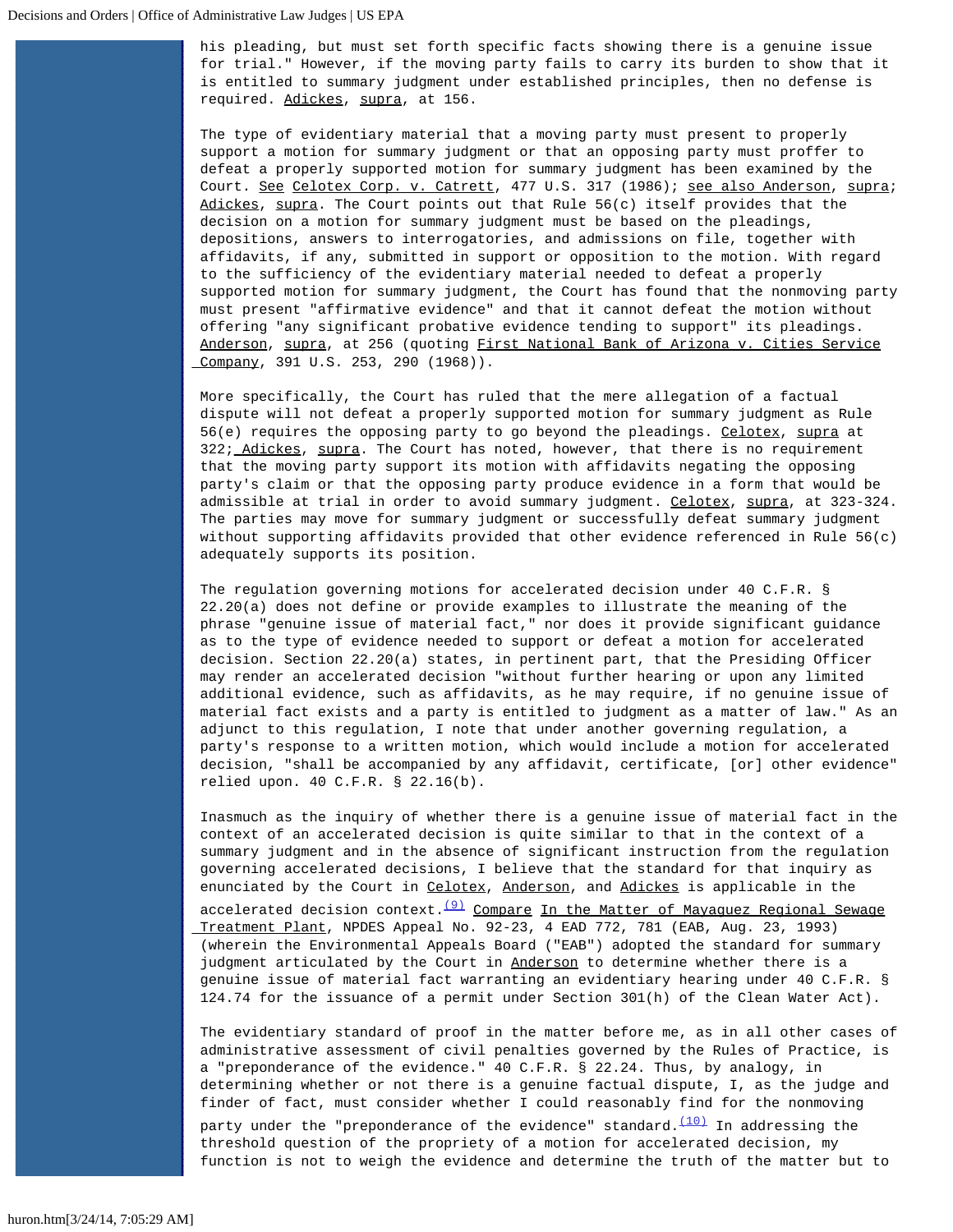his pleading, but must set forth specific facts showing there is a genuine issue for trial." However, if the moving party fails to carry its burden to show that it is entitled to summary judgment under established principles, then no defense is required. Adickes, supra, at 156.

The type of evidentiary material that a moving party must present to properly support a motion for summary judgment or that an opposing party must proffer to defeat a properly supported motion for summary judgment has been examined by the Court. See Celotex Corp. v. Catrett, 477 U.S. 317 (1986); see also Anderson, supra; Adickes, supra. The Court points out that Rule 56(c) itself provides that the decision on a motion for summary judgment must be based on the pleadings, depositions, answers to interrogatories, and admissions on file, together with affidavits, if any, submitted in support or opposition to the motion. With regard to the sufficiency of the evidentiary material needed to defeat a properly supported motion for summary judgment, the Court has found that the nonmoving party must present "affirmative evidence" and that it cannot defeat the motion without offering "any significant probative evidence tending to support" its pleadings. Anderson, supra, at 256 (quoting First National Bank of Arizona v. Cities Service Company, 391 U.S. 253, 290 (1968)).

More specifically, the Court has ruled that the mere allegation of a factual dispute will not defeat a properly supported motion for summary judgment as Rule 56(e) requires the opposing party to go beyond the pleadings. Celotex, supra at 322; Adickes, supra. The Court has noted, however, that there is no requirement that the moving party support its motion with affidavits negating the opposing party's claim or that the opposing party produce evidence in a form that would be admissible at trial in order to avoid summary judgment. Celotex, supra, at 323-324. The parties may move for summary judgment or successfully defeat summary judgment without supporting affidavits provided that other evidence referenced in Rule 56(c) adequately supports its position.

The regulation governing motions for accelerated decision under 40 C.F.R. § 22.20(a) does not define or provide examples to illustrate the meaning of the phrase "genuine issue of material fact," nor does it provide significant guidance as to the type of evidence needed to support or defeat a motion for accelerated decision. Section 22.20(a) states, in pertinent part, that the Presiding Officer may render an accelerated decision "without further hearing or upon any limited additional evidence, such as affidavits, as he may require, if no genuine issue of material fact exists and a party is entitled to judgment as a matter of law." As an adjunct to this regulation, I note that under another governing regulation, a party's response to a written motion, which would include a motion for accelerated decision, "shall be accompanied by any affidavit, certificate, [or] other evidence" relied upon. 40 C.F.R. § 22.16(b).

Inasmuch as the inquiry of whether there is a genuine issue of material fact in the context of an accelerated decision is quite similar to that in the context of a summary judgment and in the absence of significant instruction from the regulation governing accelerated decisions, I believe that the standard for that inquiry as enunciated by the Court in Celotex, Anderson, and Adickes is applicable in the accelerated decision context. $\frac{(9)}{2}$  $\frac{(9)}{2}$  $\frac{(9)}{2}$  Compare In the Matter of Mayaguez Regional Sewage Treatment Plant, NPDES Appeal No. 92-23, 4 EAD 772, 781 (EAB, Aug. 23, 1993) (wherein the Environmental Appeals Board ("EAB") adopted the standard for summary judgment articulated by the Court in Anderson to determine whether there is a genuine issue of material fact warranting an evidentiary hearing under 40 C.F.R. § 124.74 for the issuance of a permit under Section 301(h) of the Clean Water Act).

The evidentiary standard of proof in the matter before me, as in all other cases of administrative assessment of civil penalties governed by the Rules of Practice, is a "preponderance of the evidence." 40 C.F.R. § 22.24. Thus, by analogy, in determining whether or not there is a genuine factual dispute, I, as the judge and finder of fact, must consider whether I could reasonably find for the nonmoving

party under the "preponderance of the evidence" standard. $\frac{(10)}{10}$  $\frac{(10)}{10}$  $\frac{(10)}{10}$  In addressing the threshold question of the propriety of a motion for accelerated decision, my function is not to weigh the evidence and determine the truth of the matter but to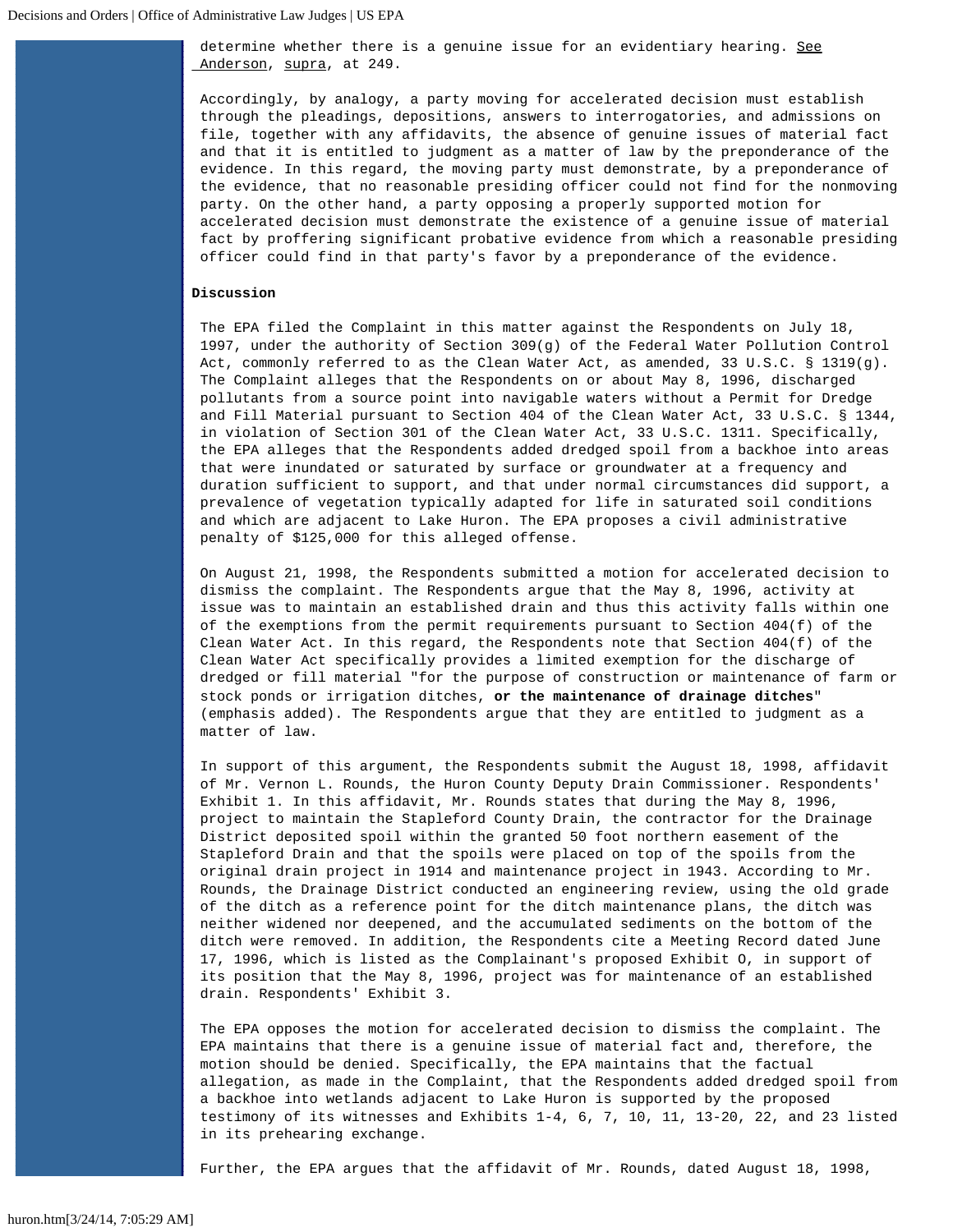determine whether there is a genuine issue for an evidentiary hearing. See Anderson, supra, at 249.

Accordingly, by analogy, a party moving for accelerated decision must establish through the pleadings, depositions, answers to interrogatories, and admissions on file, together with any affidavits, the absence of genuine issues of material fact and that it is entitled to judgment as a matter of law by the preponderance of the evidence. In this regard, the moving party must demonstrate, by a preponderance of the evidence, that no reasonable presiding officer could not find for the nonmoving party. On the other hand, a party opposing a properly supported motion for accelerated decision must demonstrate the existence of a genuine issue of material fact by proffering significant probative evidence from which a reasonable presiding officer could find in that party's favor by a preponderance of the evidence.

## **Discussion**

The EPA filed the Complaint in this matter against the Respondents on July 18, 1997, under the authority of Section 309(g) of the Federal Water Pollution Control Act, commonly referred to as the Clean Water Act, as amended, 33 U.S.C. § 1319(g). The Complaint alleges that the Respondents on or about May 8, 1996, discharged pollutants from a source point into navigable waters without a Permit for Dredge and Fill Material pursuant to Section 404 of the Clean Water Act, 33 U.S.C. § 1344, in violation of Section 301 of the Clean Water Act, 33 U.S.C. 1311. Specifically, the EPA alleges that the Respondents added dredged spoil from a backhoe into areas that were inundated or saturated by surface or groundwater at a frequency and duration sufficient to support, and that under normal circumstances did support, a prevalence of vegetation typically adapted for life in saturated soil conditions and which are adjacent to Lake Huron. The EPA proposes a civil administrative penalty of \$125,000 for this alleged offense.

On August 21, 1998, the Respondents submitted a motion for accelerated decision to dismiss the complaint. The Respondents argue that the May 8, 1996, activity at issue was to maintain an established drain and thus this activity falls within one of the exemptions from the permit requirements pursuant to Section 404(f) of the Clean Water Act. In this regard, the Respondents note that Section 404(f) of the Clean Water Act specifically provides a limited exemption for the discharge of dredged or fill material "for the purpose of construction or maintenance of farm or stock ponds or irrigation ditches, **or the maintenance of drainage ditches**" (emphasis added). The Respondents argue that they are entitled to judgment as a matter of law.

In support of this argument, the Respondents submit the August 18, 1998, affidavit of Mr. Vernon L. Rounds, the Huron County Deputy Drain Commissioner. Respondents' Exhibit 1. In this affidavit, Mr. Rounds states that during the May 8, 1996, project to maintain the Stapleford County Drain, the contractor for the Drainage District deposited spoil within the granted 50 foot northern easement of the Stapleford Drain and that the spoils were placed on top of the spoils from the original drain project in 1914 and maintenance project in 1943. According to Mr. Rounds, the Drainage District conducted an engineering review, using the old grade of the ditch as a reference point for the ditch maintenance plans, the ditch was neither widened nor deepened, and the accumulated sediments on the bottom of the ditch were removed. In addition, the Respondents cite a Meeting Record dated June 17, 1996, which is listed as the Complainant's proposed Exhibit O, in support of its position that the May 8, 1996, project was for maintenance of an established drain. Respondents' Exhibit 3.

The EPA opposes the motion for accelerated decision to dismiss the complaint. The EPA maintains that there is a genuine issue of material fact and, therefore, the motion should be denied. Specifically, the EPA maintains that the factual allegation, as made in the Complaint, that the Respondents added dredged spoil from a backhoe into wetlands adjacent to Lake Huron is supported by the proposed testimony of its witnesses and Exhibits 1-4, 6, 7, 10, 11, 13-20, 22, and 23 listed in its prehearing exchange.

Further, the EPA argues that the affidavit of Mr. Rounds, dated August 18, 1998,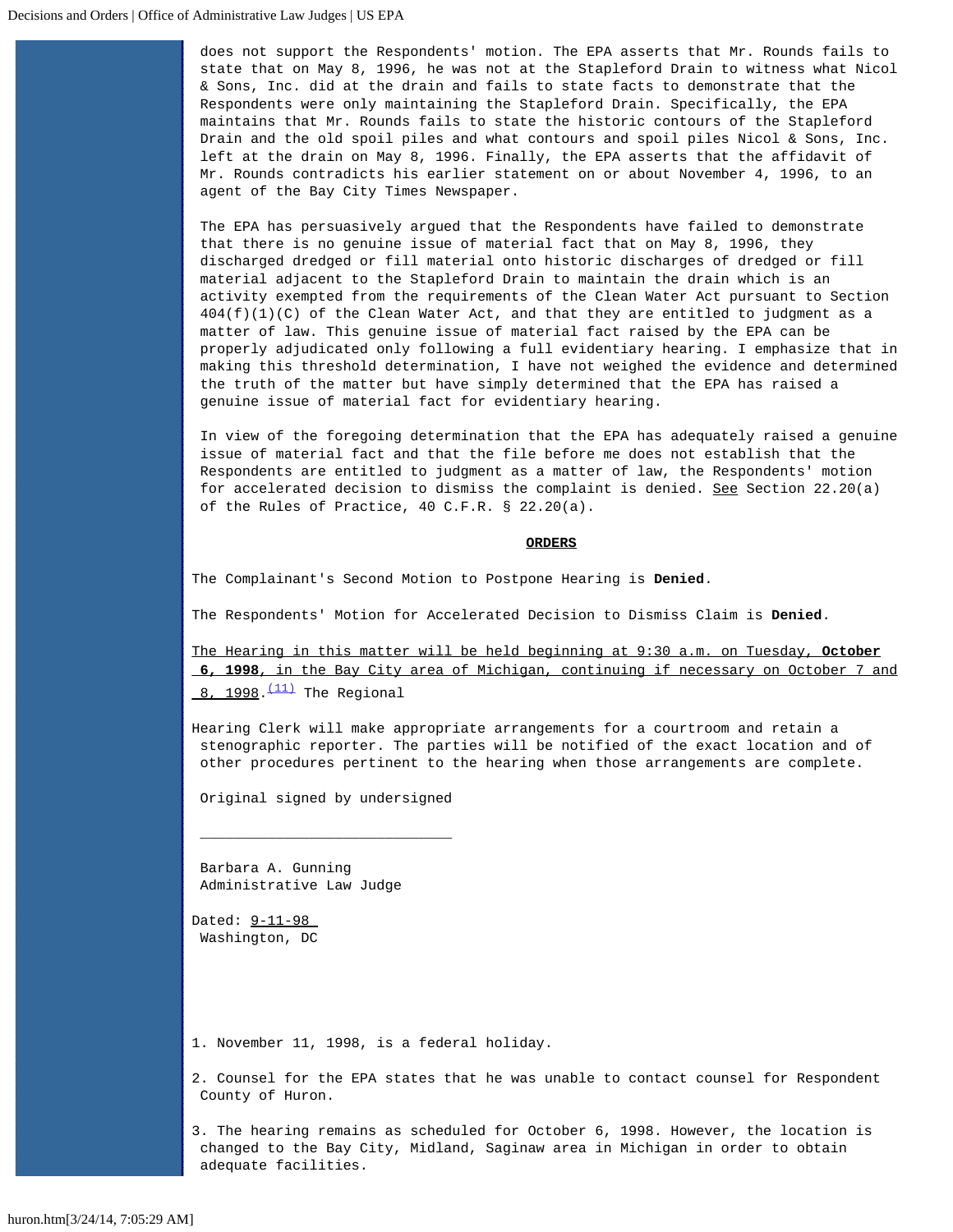does not support the Respondents' motion. The EPA asserts that Mr. Rounds fails to state that on May 8, 1996, he was not at the Stapleford Drain to witness what Nicol & Sons, Inc. did at the drain and fails to state facts to demonstrate that the Respondents were only maintaining the Stapleford Drain. Specifically, the EPA maintains that Mr. Rounds fails to state the historic contours of the Stapleford Drain and the old spoil piles and what contours and spoil piles Nicol & Sons, Inc. left at the drain on May 8, 1996. Finally, the EPA asserts that the affidavit of Mr. Rounds contradicts his earlier statement on or about November 4, 1996, to an agent of the Bay City Times Newspaper.

The EPA has persuasively argued that the Respondents have failed to demonstrate that there is no genuine issue of material fact that on May 8, 1996, they discharged dredged or fill material onto historic discharges of dredged or fill material adjacent to the Stapleford Drain to maintain the drain which is an activity exempted from the requirements of the Clean Water Act pursuant to Section  $404(f)(1)(C)$  of the Clean Water Act, and that they are entitled to judgment as a matter of law. This genuine issue of material fact raised by the EPA can be properly adjudicated only following a full evidentiary hearing. I emphasize that in making this threshold determination, I have not weighed the evidence and determined the truth of the matter but have simply determined that the EPA has raised a genuine issue of material fact for evidentiary hearing.

In view of the foregoing determination that the EPA has adequately raised a genuine issue of material fact and that the file before me does not establish that the Respondents are entitled to judgment as a matter of law, the Respondents' motion for accelerated decision to dismiss the complaint is denied. See Section 22.20(a) of the Rules of Practice, 40 C.F.R. § 22.20(a).

## **ORDERS**

The Complainant's Second Motion to Postpone Hearing is **Denied**.

The Respondents' Motion for Accelerated Decision to Dismiss Claim is **Denied**.

The Hearing in this matter will be held beginning at 9:30 a.m. on Tuesday, **October 6, 1998**, in the Bay City area of Michigan, continuing if necessary on October 7 and  $8, 1998$ . $(11)$  The Regional

Hearing Clerk will make appropriate arrangements for a courtroom and retain a stenographic reporter. The parties will be notified of the exact location and of other procedures pertinent to the hearing when those arrangements are complete.

Original signed by undersigned

 $\overline{\phantom{a}}$  , and the contract of the contract of the contract of  $\overline{\phantom{a}}$ 

Barbara A. Gunning Administrative Law Judge

Dated: 9-11-98 Washington, DC

<span id="page-4-0"></span>1. November 11, 1998, is a federal holiday.

<span id="page-4-1"></span>2. Counsel for the EPA states that he was unable to contact counsel for Respondent County of Huron.

<span id="page-4-2"></span>3. The hearing remains as scheduled for October 6, 1998. However, the location is changed to the Bay City, Midland, Saginaw area in Michigan in order to obtain adequate facilities.